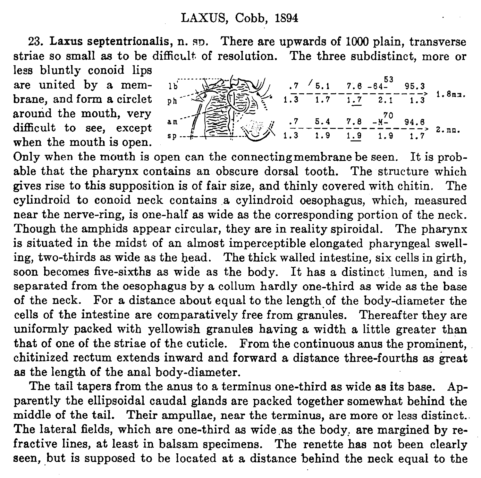## LAXUS, Cobb, 1894

23. Laxus septentrionalis, n. sp. There are upwards of 1000 plain, transverse striae so small as to be difficult, of resolution. The three subdistinct, more or less bluntly conoid lips

are united by a membrane, and form a circlet around the mouth, very difficult to see, except when the mouth is open.

| $\begin{array}{ccc}\n\mathbb{R} & .7 & .6 & .1 & .7 & .6 & -64^{53} & 95.3 \\ \hline\n\mathbb{R} & .1.3 & .1.7 & .1.7 & 2.1 & .1.3\n\end{array}$ |  |  |          |
|--------------------------------------------------------------------------------------------------------------------------------------------------|--|--|----------|
|                                                                                                                                                  |  |  |          |
| $\frac{7}{1.3}$ $\frac{5.4}{1.9}$ $\frac{7.8}{1.9}$ $\frac{10}{1.9}$ $\frac{94.8}{1.9}$                                                          |  |  |          |
|                                                                                                                                                  |  |  | $2.$ mm. |

Only when the mouth is open can the connectingmembrane be seen. It is probable that the pharynx contains an obscure dorsal tooth. The structure which gives rise to this supposition is of fair size, and thinly covered with chitin. The cylindroid to conoid neck contains a cylindroid oesophagus, which, measured near the nerve-ring, is one-half as wide as the corresponding portion of the neck. Though the amphids appear circular, they are in reality spiroidal. The pharynx is situated in the midst of an almost imperceptible elongated pharyngeal swelling, two-thirds as wide as the head. The thick walled intestine, six cells in girth, soon becomes five-sixths as wide as the body. It has a distinct lumen, and is separated from the oesophagus by a collum hardly one-third as wide as the base of the neck. For a distance about equal to the length of the body-diameter the cells of the intestine are comparatively free from granules. Thereafter they are uniformly packed with yellowish granules having a width a little greater than that of one of the striae of the cuticle. From the continuous anus the prominent, chitinized rectum extends inward and forward a distance three-fourths as great as the length of the anal body-diameter.

The tail tapers from the anus to a terminus one-third as wide as its base. Apparently the ellipsoidal caudal glands are packed together somewhat behind the middle of the tail. Their ampullae, near the terminus, are more or less distinct.. The lateral fields, which are one-third as wide as the body, are margined by refractive lines, at least in balsam specimens. The renette has not been clearly seen, but is supposed to be located at a distance behind the neck equal to the